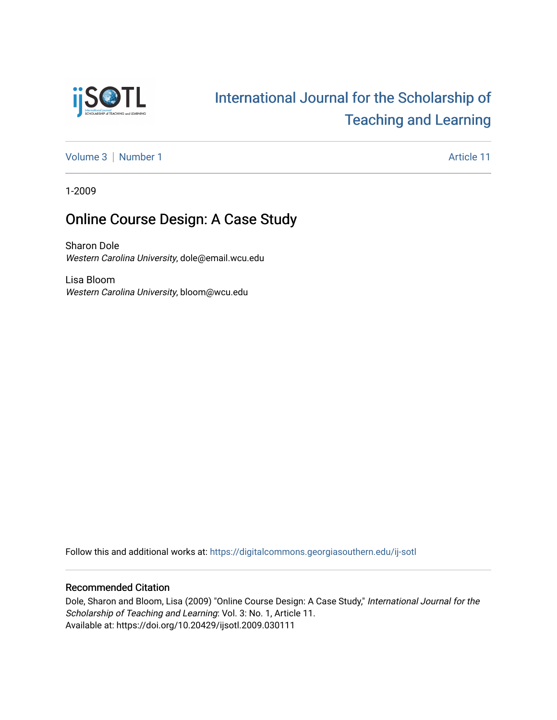

# [International Journal for the Scholarship of](https://digitalcommons.georgiasouthern.edu/ij-sotl)  [Teaching and Learning](https://digitalcommons.georgiasouthern.edu/ij-sotl)

[Volume 3](https://digitalcommons.georgiasouthern.edu/ij-sotl/vol3) | [Number 1](https://digitalcommons.georgiasouthern.edu/ij-sotl/vol3/iss1) Article 11

1-2009

# Online Course Design: A Case Study

Sharon Dole Western Carolina University, dole@email.wcu.edu

Lisa Bloom Western Carolina University, bloom@wcu.edu

Follow this and additional works at: [https://digitalcommons.georgiasouthern.edu/ij-sotl](https://digitalcommons.georgiasouthern.edu/ij-sotl?utm_source=digitalcommons.georgiasouthern.edu%2Fij-sotl%2Fvol3%2Fiss1%2F11&utm_medium=PDF&utm_campaign=PDFCoverPages) 

## Recommended Citation

Dole, Sharon and Bloom, Lisa (2009) "Online Course Design: A Case Study," International Journal for the Scholarship of Teaching and Learning: Vol. 3: No. 1, Article 11. Available at: https://doi.org/10.20429/ijsotl.2009.030111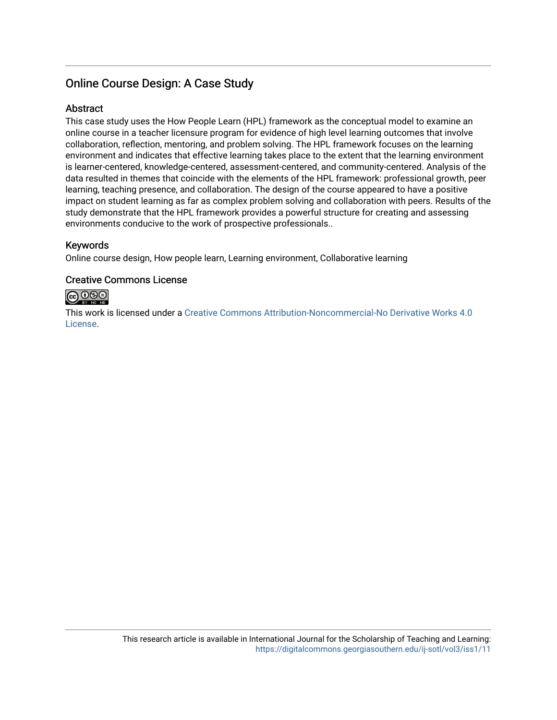# Online Course Design: A Case Study

## **Abstract**

This case study uses the How People Learn (HPL) framework as the conceptual model to examine an online course in a teacher licensure program for evidence of high level learning outcomes that involve collaboration, reflection, mentoring, and problem solving. The HPL framework focuses on the learning environment and indicates that effective learning takes place to the extent that the learning environment is learner-centered, knowledge-centered, assessment-centered, and community-centered. Analysis of the data resulted in themes that coincide with the elements of the HPL framework: professional growth, peer learning, teaching presence, and collaboration. The design of the course appeared to have a positive impact on student learning as far as complex problem solving and collaboration with peers. Results of the study demonstrate that the HPL framework provides a powerful structure for creating and assessing environments conducive to the work of prospective professionals..

# Keywords

Online course design, How people learn, Learning environment, Collaborative learning

## Creative Commons License



This work is licensed under a [Creative Commons Attribution-Noncommercial-No Derivative Works 4.0](https://creativecommons.org/licenses/by-nc-nd/4.0/) [License](https://creativecommons.org/licenses/by-nc-nd/4.0/).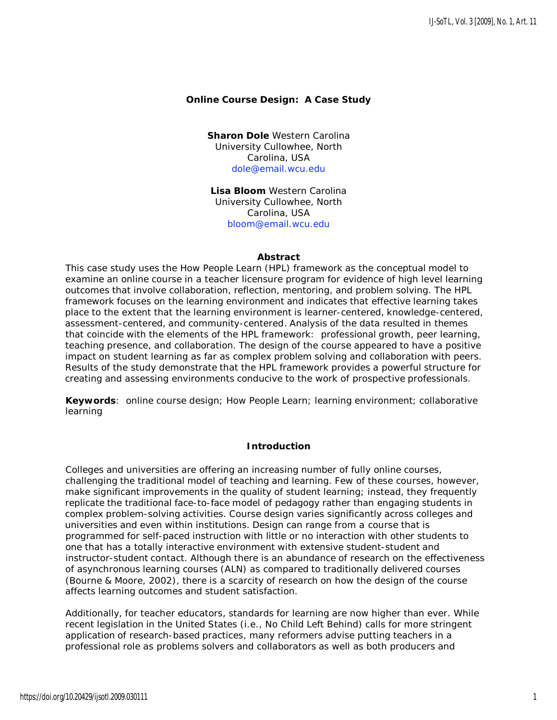#### **Online Course Design: A Case Study**

**Sharon Dole** Western Carolina University Cullowhee, North Carolina, USA [dole@email.wcu.edu](mailto:dole@email.wcu.edu)

**Lisa Bloom** Western Carolina University Cullowhee, North Carolina, USA [bloom@email.wcu.edu](mailto:bloom@email.wcu.edu)

#### **Abstract**

This case study uses the *How People Learn* (HPL) framework as the conceptual model to examine an online course in a teacher licensure program for evidence of high level learning outcomes that involve collaboration, reflection, mentoring, and problem solving. The HPL framework focuses on the learning environment and indicates that effective learning takes place to the extent that the learning environment is learner-centered, knowledge-centered, assessment-centered, and community-centered. Analysis of the data resulted in themes that coincide with the elements of the HPL framework: professional growth, peer learning, teaching presence, and collaboration. The design of the course appeared to have a positive impact on student learning as far as complex problem solving and collaboration with peers. Results of the study demonstrate that the HPL framework provides a powerful structure for creating and assessing environments conducive to the work of prospective professionals.

**Keywords**: online course design; How People Learn; learning environment; collaborative learning

#### **Introduction**

Colleges and universities are offering an increasing number of fully online courses, challenging the traditional model of teaching and learning. Few of these courses, however, make significant improvements in the quality of student learning; instead, they frequently replicate the traditional face-to-face model of pedagogy rather than engaging students in complex problem-solving activities. Course design varies significantly across colleges and universities and even within institutions. Design can range from a course that is programmed for self-paced instruction with little or no interaction with other students to one that has a totally interactive environment with extensive student-student and instructor-student contact. Although there is an abundance of research on the effectiveness of asynchronous learning courses (ALN) as compared to traditionally delivered courses (Bourne & Moore, 2002), there is a scarcity of research on how the design of the course affects learning outcomes and student satisfaction.

Additionally, for teacher educators, standards for learning are now higher than ever. While recent legislation in the United States (i.e., No Child Left Behind) calls for more stringent application of research-based practices, many reformers advise putting teachers in a professional role as problems solvers and collaborators as well as both producers and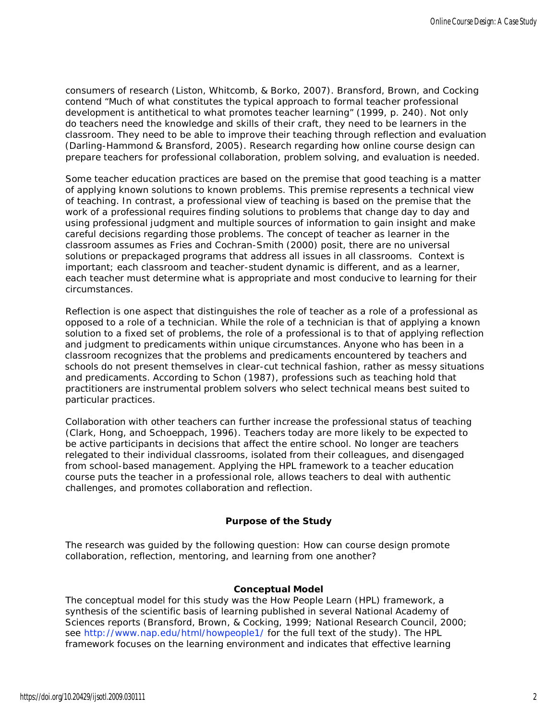consumers of research (Liston, Whitcomb, & Borko, 2007). Bransford, Brown, and Cocking contend "Much of what constitutes the typical approach to formal teacher professional development is antithetical to what promotes teacher learning" (1999, p. 240). Not only do teachers need the knowledge and skills of their craft, they need to be learners in the classroom. They need to be able to improve their teaching through reflection and evaluation (Darling-Hammond & Bransford, 2005). Research regarding how online course design can prepare teachers for professional collaboration, problem solving, and evaluation is needed.

Some teacher education practices are based on the premise that good teaching is a matter of applying known solutions to known problems. This premise represents a technical view of teaching. In contrast, a professional view of teaching is based on the premise that the work of a professional requires finding solutions to problems that change day to day and using professional judgment and multiple sources of information to gain insight and make careful decisions regarding those problems. The concept of teacher as learner in the classroom assumes as Fries and Cochran-Smith (2000) posit, there are no universal solutions or prepackaged programs that address all issues in all classrooms. Context is important; each classroom and teacher-student dynamic is different, and as a learner, each teacher must determine what is appropriate and most conducive to learning for their circumstances.

Reflection is one aspect that distinguishes the role of teacher as a role of a professional as opposed to a role of a technician. While the role of a technician is that of applying a known solution to a fixed set of problems, the role of a professional is to that of applying reflection and judgment to predicaments within unique circumstances. Anyone who has been in a classroom recognizes that the problems and predicaments encountered by teachers and schools do not present themselves in clear-cut technical fashion, rather as messy situations and predicaments. According to Schon (1987), professions such as teaching hold that practitioners are instrumental problem solvers who select technical means best suited to particular practices.

Collaboration with other teachers can further increase the professional status of teaching (Clark, Hong, and Schoeppach, 1996). Teachers today are more likely to be expected to be active participants in decisions that affect the entire school. No longer are teachers relegated to their individual classrooms, isolated from their colleagues, and disengaged from school-based management. Applying the HPL framework to a teacher education course puts the teacher in a professional role, allows teachers to deal with authentic challenges, and promotes collaboration and reflection.

### **Purpose of the Study**

The research was guided by the following question: How can course design promote collaboration, reflection, mentoring, and learning from one another?

#### **Conceptual Model**

The conceptual model for this study was the *How People Learn* (HPL) framework, a synthesis of the scientific basis of learning published in several National Academy of Sciences reports (Bransford, Brown, & Cocking, 1999; National Research Council, 2000; see [http://www.nap.edu/html/howpeople1/ f](http://www.nap.edu/html/howpeople1/)or the full text of the study). The HPL framework focuses on the learning environment and indicates that effective learning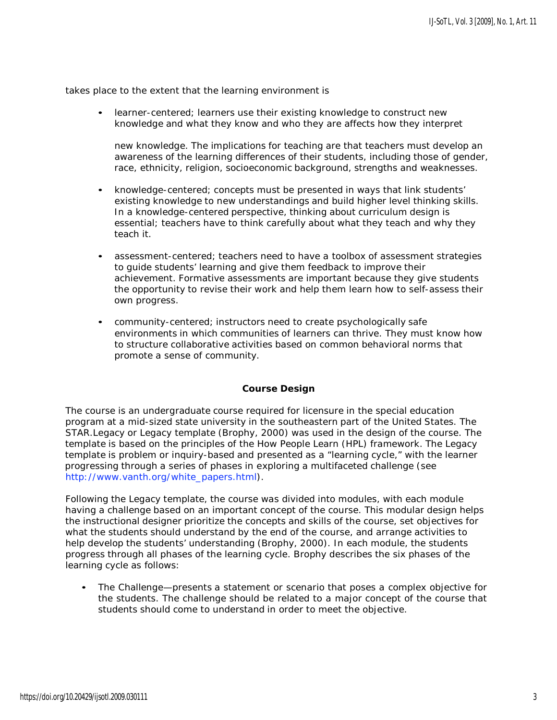takes place to the extent that the learning environment is

• *learner-centered;* learners use their existing knowledge to construct new knowledge and what they know and who they are affects how they interpret

new knowledge. The implications for teaching are that teachers must develop an awareness of the learning differences of their students, including those of gender, race, ethnicity, religion, socioeconomic background, strengths and weaknesses.

- *knowledge-centered;* concepts must be presented in ways that link students' existing knowledge to new understandings and build higher level thinking skills. In a knowledge-centered perspective, thinking about curriculum design is essential; teachers have to think carefully about what they teach and why they teach it.
- *assessment-centered;* teachers need to have a toolbox of assessment strategies to guide students' learning and give them feedback to improve their achievement. Formative assessments are important because they give students the opportunity to revise their work and help them learn how to self-assess their own progress.
- *community-centered;* instructors need to create psychologically safe environments in which communities of learners can thrive. They must know how to structure collaborative activities based on common behavioral norms that promote a sense of community.

#### **Course Design**

The course is an undergraduate course required for licensure in the special education program at a mid-sized state university in the southeastern part of the United States. The STAR.Legacy or Legacy template (Brophy, 2000) was used in the design of the course. The template is based on the principles of the *How People Learn* (HPL) framework. The Legacy template is problem or inquiry-based and presented as a "learning cycle," with the learner progressing through a series of phases in exploring a multifaceted challenge (see [http://www.vanth.org/white\\_papers.html\).](http://www.vanth.org/white_papers.html))

Following the Legacy template, the course was divided into modules, with each module having a challenge based on an important concept of the course. This modular design helps the instructional designer prioritize the concepts and skills of the course, set objectives for what the students should understand by the end of the course, and arrange activities to help develop the students' understanding (Brophy, 2000). In each module, the students progress through all phases of the learning cycle. Brophy describes the six phases of the learning cycle as follows:

• *The Challenge*—presents a statement or scenario that poses a complex objective for the students. The challenge should be related to a major concept of the course that students should come to understand in order to meet the objective.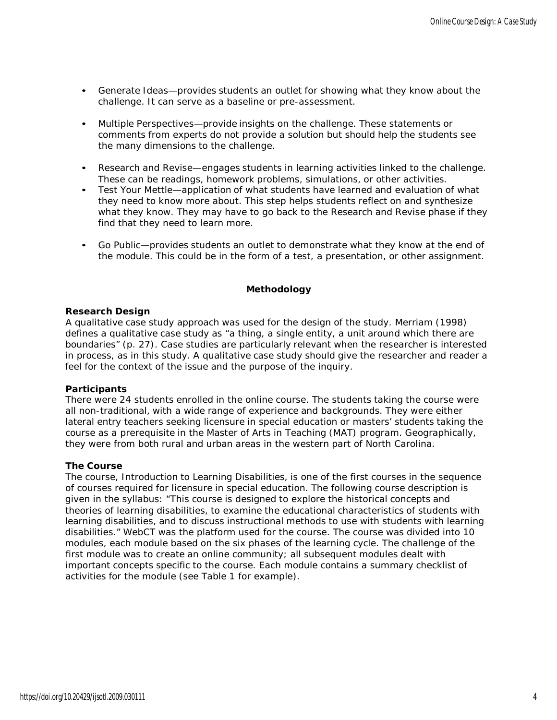- *Generate Ideas*—provides students an outlet for showing what they know about the challenge. It can serve as a baseline or pre-assessment.
- *Multiple Perspectives*—provide insights on the challenge. These statements or comments from experts do not provide a solution but should help the students see the many dimensions to the challenge.
- *Research and Revise*—engages students in learning activities linked to the challenge. These can be readings, homework problems, simulations, or other activities.
- *Test Your Mettle*—application of what students have learned and evaluation of what they need to know more about. This step helps students reflect on and synthesize what they know. They may have to go back to the *Research and Revise* phase if they find that they need to learn more.
- *Go Public*—provides students an outlet to demonstrate what they know at the end of the module. This could be in the form of a test, a presentation, or other assignment.

#### **Methodology**

#### **Research Design**

A qualitative case study approach was used for the design of the study. Merriam (1998) defines a qualitative case study as "a thing, a single entity, a unit around which there are boundaries" (p. 27). Case studies are particularly relevant when the researcher is interested in process, as in this study. A qualitative case study should give the researcher and reader a feel for the context of the issue and the purpose of the inquiry.

#### **Participants**

There were 24 students enrolled in the online course. The students taking the course were all non-traditional, with a wide range of experience and backgrounds. They were either lateral entry teachers seeking licensure in special education or masters' students taking the course as a prerequisite in the Master of Arts in Teaching (MAT) program. Geographically, they were from both rural and urban areas in the western part of North Carolina.

#### **The Course**

The course, Introduction to Learning Disabilities, is one of the first courses in the sequence of courses required for licensure in special education. The following course description is given in the syllabus: "This course is designed to explore the historical concepts and theories of learning disabilities, to examine the educational characteristics of students with learning disabilities, and to discuss instructional methods to use with students with learning disabilities." WebCT was the platform used for the course. The course was divided into 10 modules, each module based on the six phases of the learning cycle. The challenge of the first module was to create an online community; all subsequent modules dealt with important concepts specific to the course. Each module contains a summary checklist of activities for the module (see Table 1 for example).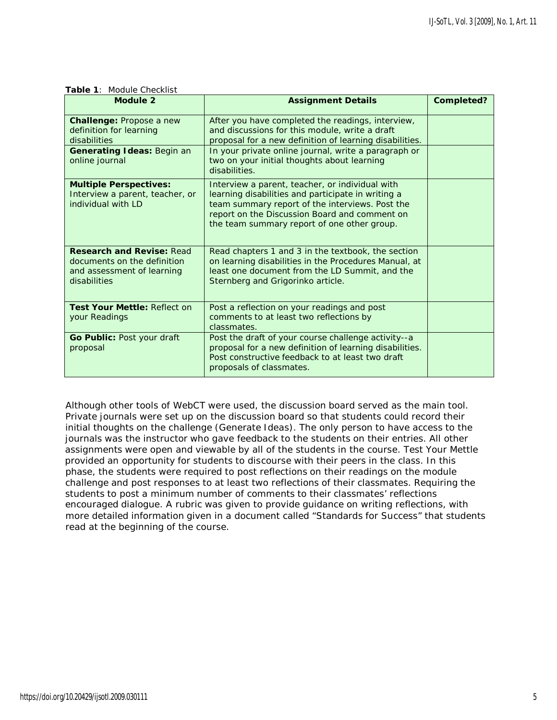| Module 2                                                                                                            | <b>Assignment Details</b>                                                                                                                                                                                                                                                              | <b>Completed?</b> |
|---------------------------------------------------------------------------------------------------------------------|----------------------------------------------------------------------------------------------------------------------------------------------------------------------------------------------------------------------------------------------------------------------------------------|-------------------|
| Challenge: Propose a new<br>definition for learning<br>disabilities<br>Generating Ideas: Begin an<br>online journal | After you have completed the readings, interview,<br>and discussions for this module, write a draft<br>proposal for a new definition of learning disabilities.<br>In your private online journal, write a paragraph or<br>two on your initial thoughts about learning<br>disabilities. |                   |
| <b>Multiple Perspectives:</b><br>Interview a parent, teacher, or<br>individual with LD                              | Interview a parent, teacher, or individual with<br>learning disabilities and participate in writing a<br>team summary report of the interviews. Post the<br>report on the Discussion Board and comment on<br>the team summary report of one other group.                               |                   |
| <b>Research and Revise: Read</b><br>documents on the definition<br>and assessment of learning<br>disabilities       | Read chapters 1 and 3 in the textbook, the section<br>on learning disabilities in the Procedures Manual, at<br>least one document from the LD Summit, and the<br>Sternberg and Grigorinko article.                                                                                     |                   |
| Test Your Mettle: Reflect on<br>your Readings                                                                       | Post a reflection on your readings and post<br>comments to at least two reflections by<br>classmates.                                                                                                                                                                                  |                   |
| Go Public: Post your draft<br>proposal                                                                              | Post the draft of your course challenge activity--a<br>proposal for a new definition of learning disabilities.<br>Post constructive feedback to at least two draft<br>proposals of classmates.                                                                                         |                   |

**Table 1**: Module Checklist

Although other tools of WebCT were used, the discussion board served as the main tool. Private journals were set up on the discussion board so that students could record their initial thoughts on the challenge (*Generate Ideas*). The only person to have access to the journals was the instructor who gave feedback to the students on their entries. All other assignments were open and viewable by all of the students in the course. *Test Your Mettle*  provided an opportunity for students to discourse with their peers in the class. In this phase, the students were required to post reflections on their readings on the module challenge and post responses to at least two reflections of their classmates. Requiring the students to post a minimum number of comments to their classmates' reflections encouraged dialogue. A rubric was given to provide guidance on writing reflections, with more detailed information given in a document called "Standards for Success" that students read at the beginning of the course.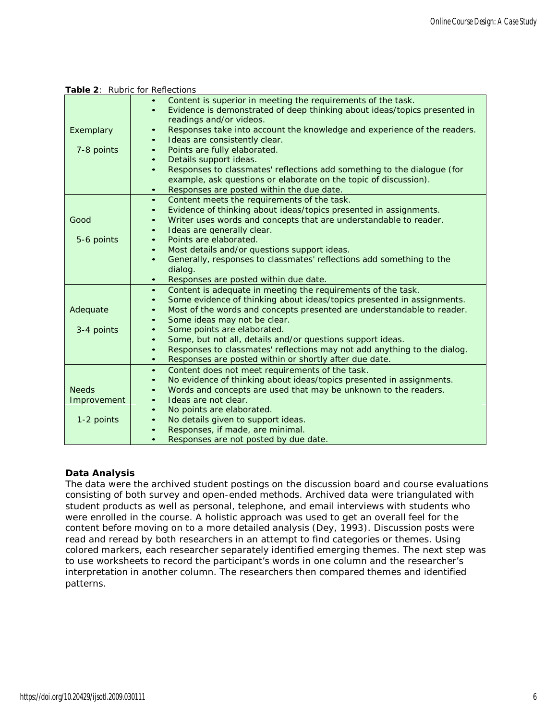|                                           | Table 2: Rubric for Reflections                                                                                                                                                                                                                                                                                                                                                                                                                                                                                                                                                                                                                   |  |  |
|-------------------------------------------|---------------------------------------------------------------------------------------------------------------------------------------------------------------------------------------------------------------------------------------------------------------------------------------------------------------------------------------------------------------------------------------------------------------------------------------------------------------------------------------------------------------------------------------------------------------------------------------------------------------------------------------------------|--|--|
| Exemplary<br>7-8 points                   | Content is superior in meeting the requirements of the task.<br>Evidence is demonstrated of deep thinking about ideas/topics presented in<br>$\bullet$<br>readings and/or videos.<br>Responses take into account the knowledge and experience of the readers.<br>$\bullet$<br>Ideas are consistently clear.<br>$\bullet$<br>Points are fully elaborated.<br>$\bullet$<br>Details support ideas.<br>$\bullet$<br>Responses to classmates' reflections add something to the dialogue (for<br>$\bullet$                                                                                                                                              |  |  |
|                                           | example, ask questions or elaborate on the topic of discussion).<br>Responses are posted within the due date.<br>$\bullet$                                                                                                                                                                                                                                                                                                                                                                                                                                                                                                                        |  |  |
| Good<br>5-6 points                        | Content meets the requirements of the task.<br>$\bullet$<br>Evidence of thinking about ideas/topics presented in assignments.<br>$\bullet$<br>Writer uses words and concepts that are understandable to reader.<br>$\bullet$<br>Ideas are generally clear.<br>$\bullet$<br>Points are elaborated.<br>$\bullet$<br>Most details and/or questions support ideas.<br>$\bullet$<br>Generally, responses to classmates' reflections add something to the<br>$\bullet$<br>dialog.                                                                                                                                                                       |  |  |
| Adequate<br>3-4 points                    | Responses are posted within due date.<br>$\bullet$<br>Content is adequate in meeting the requirements of the task.<br>$\bullet$<br>Some evidence of thinking about ideas/topics presented in assignments.<br>$\bullet$<br>Most of the words and concepts presented are understandable to reader.<br>$\bullet$<br>Some ideas may not be clear.<br>$\bullet$<br>Some points are elaborated.<br>$\bullet$<br>Some, but not all, details and/or questions support ideas.<br>$\bullet$<br>Responses to classmates' reflections may not add anything to the dialog.<br>$\bullet$<br>Responses are posted within or shortly after due date.<br>$\bullet$ |  |  |
| <b>Needs</b><br>Improvement<br>1-2 points | Content does not meet requirements of the task.<br>$\bullet$<br>No evidence of thinking about ideas/topics presented in assignments.<br>$\bullet$<br>Words and concepts are used that may be unknown to the readers.<br>$\bullet$<br>Ideas are not clear.<br>$\bullet$<br>No points are elaborated.<br>$\bullet$<br>No details given to support ideas.<br>$\bullet$<br>Responses, if made, are minimal.<br>$\bullet$<br>Responses are not posted by due date.<br>$\bullet$                                                                                                                                                                        |  |  |

#### **Data Analysis**

The data were the archived student postings on the discussion board and course evaluations consisting of both survey and open-ended methods. Archived data were triangulated with student products as well as personal, telephone, and email interviews with students who were enrolled in the course. A holistic approach was used to get an overall feel for the content before moving on to a more detailed analysis (Dey, 1993). Discussion posts were read and reread by both researchers in an attempt to find categories or themes. Using colored markers, each researcher separately identified emerging themes. The next step was to use worksheets to record the participant's words in one column and the researcher's interpretation in another column. The researchers then compared themes and identified patterns.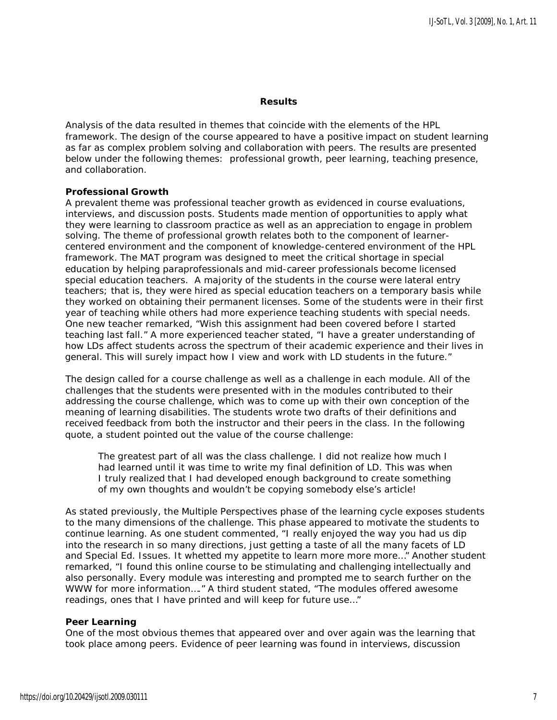#### **Results**

Analysis of the data resulted in themes that coincide with the elements of the HPL framework. The design of the course appeared to have a positive impact on student learning as far as complex problem solving and collaboration with peers. The results are presented below under the following themes: professional growth, peer learning, teaching presence, and collaboration.

#### **Professional Growth**

A prevalent theme was professional teacher growth as evidenced in course evaluations, interviews, and discussion posts. Students made mention of opportunities to apply what they were learning to classroom practice as well as an appreciation to engage in problem solving. The theme of professional growth relates both to the component of learnercentered environment and the component of knowledge-centered environment of the HPL framework. The MAT program was designed to meet the critical shortage in special education by helping paraprofessionals and mid-career professionals become licensed special education teachers. A majority of the students in the course were lateral entry teachers; that is, they were hired as special education teachers on a temporary basis while they worked on obtaining their permanent licenses. Some of the students were in their first year of teaching while others had more experience teaching students with special needs. One new teacher remarked, "Wish this assignment had been covered before I started teaching last fall." A more experienced teacher stated, "I have a greater understanding of how LDs affect students across the spectrum of their academic experience and their lives in general. This will surely impact how I view and work with LD students in the future."

The design called for a course challenge as well as a challenge in each module. All of the challenges that the students were presented with in the modules contributed to their addressing the course challenge, which was to come up with their own conception of the meaning of learning disabilities. The students wrote two drafts of their definitions and received feedback from both the instructor and their peers in the class. In the following quote, a student pointed out the value of the course challenge:

The greatest part of all was the class challenge. I did not realize how much I had learned until it was time to write my final definition of LD. This was when I truly realized that I had developed enough background to create something of my own thoughts and wouldn't be copying somebody else's article!

As stated previously, the *Multiple Perspectives* phase of the learning cycle exposes students to the many dimensions of the challenge. This phase appeared to motivate the students to continue learning. As one student commented, "I really enjoyed the way you had us dip into the research in so many directions, just getting a taste of all the many facets of LD and Special Ed. Issues. It whetted my appetite to learn more more more…" Another student remarked, "I found this online course to be stimulating and challenging intellectually and also personally. Every module was interesting and prompted me to search further on the WWW for more information…." A third student stated, "The modules offered awesome readings, ones that I have printed and will keep for future use…"

#### **Peer Learning**

One of the most obvious themes that appeared over and over again was the learning that took place among peers. Evidence of peer learning was found in interviews, discussion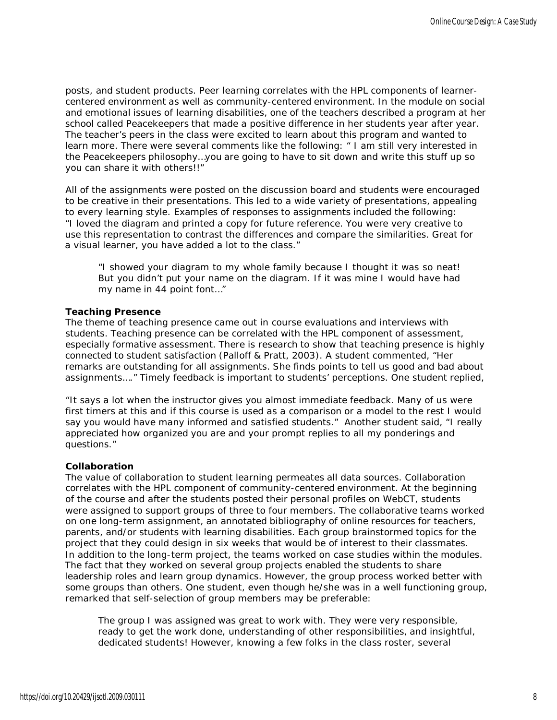posts, and student products. Peer learning correlates with the HPL components of learnercentered environment as well as community-centered environment. In the module on social and emotional issues of learning disabilities, one of the teachers described a program at her school called Peacekeepers that made a positive difference in her students year after year. The teacher's peers in the class were excited to learn about this program and wanted to learn more. There were several comments like the following: " I am still very interested in the Peacekeepers philosophy…you are going to have to sit down and write this stuff up so you can share it with others!!"

All of the assignments were posted on the discussion board and students were encouraged to be creative in their presentations. This led to a wide variety of presentations, appealing to every learning style. Examples of responses to assignments included the following: "I loved the diagram and printed a copy for future reference. You were very creative to use this representation to contrast the differences and compare the similarities. Great for a visual learner, you have added a lot to the class."

"I showed your diagram to my whole family because I thought it was so neat! But you didn't put your name on the diagram. If it was mine I would have had my name in 44 point font…"

#### **Teaching Presence**

The theme of teaching presence came out in course evaluations and interviews with students. Teaching presence can be correlated with the HPL component of assessment, especially formative assessment. There is research to show that teaching presence is highly connected to student satisfaction (Palloff & Pratt, 2003). A student commented, "Her remarks are outstanding for all assignments. She finds points to tell us good and bad about assignments…." Timely feedback is important to students' perceptions. One student replied,

"It says a lot when the instructor gives you almost immediate feedback. Many of us were first timers at this and if this course is used as a comparison or a model to the rest I would say you would have many informed and satisfied students." Another student said, "I really appreciated how organized you are and your prompt replies to all my ponderings and questions."

#### **Collaboration**

The value of collaboration to student learning permeates all data sources. Collaboration correlates with the HPL component of community-centered environment. At the beginning of the course and after the students posted their personal profiles on WebCT, students were assigned to support groups of three to four members. The collaborative teams worked on one long-term assignment, an annotated bibliography of online resources for teachers, parents, and/or students with learning disabilities. Each group brainstormed topics for the project that they could design in six weeks that would be of interest to their classmates. In addition to the long-term project, the teams worked on case studies within the modules. The fact that they worked on several group projects enabled the students to share leadership roles and learn group dynamics. However, the group process worked better with some groups than others. One student, even though he/she was in a well functioning group, remarked that self-selection of group members may be preferable:

The group I was assigned was great to work with. They were very responsible, ready to get the work done, understanding of other responsibilities, and insightful, dedicated students! However, knowing a few folks in the class roster, several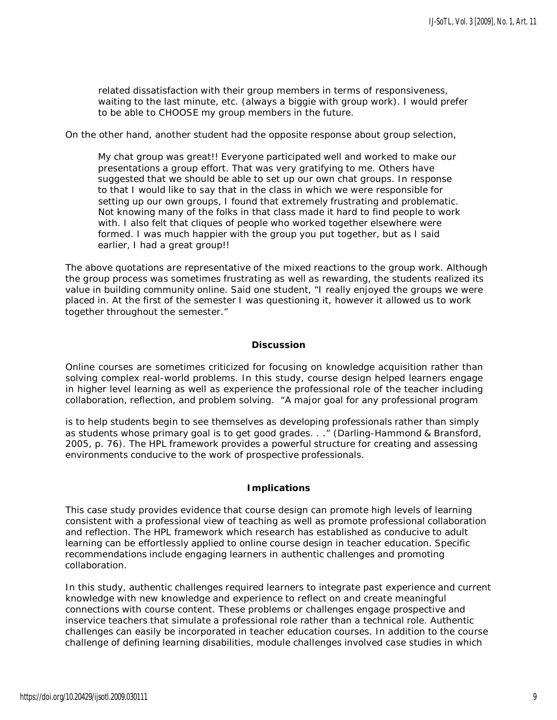related dissatisfaction with their group members in terms of responsiveness, waiting to the last minute, etc. (always a biggie with group work). I would prefer to be able to CHOOSE my group members in the future.

On the other hand, another student had the opposite response about group selection,

My chat group was great!! Everyone participated well and worked to make our presentations a group effort. That was very gratifying to me. Others have suggested that we should be able to set up our own chat groups. In response to that I would like to say that in the class in which we were responsible for setting up our own groups, I found that extremely frustrating and problematic. Not knowing many of the folks in that class made it hard to find people to work with. I also felt that cliques of people who worked together elsewhere were formed. I was much happier with the group you put together, but as I said earlier, I had a great group!!

The above quotations are representative of the mixed reactions to the group work. Although the group process was sometimes frustrating as well as rewarding, the students realized its value in building community online. Said one student, "I really enjoyed the groups we were placed in. At the first of the semester I was questioning it, however it allowed us to work together throughout the semester."

#### **Discussion**

Online courses are sometimes criticized for focusing on knowledge acquisition rather than solving complex real-world problems. In this study, course design helped learners engage in higher level learning as well as experience the professional role of the teacher including collaboration, reflection, and problem solving. "A major goal for any professional program

is to help students begin to see themselves as developing professionals rather than simply as students whose primary goal is to get good grades. . ." (Darling-Hammond & Bransford, 2005, p. 76). The HPL framework provides a powerful structure for creating and assessing environments conducive to the work of prospective professionals.

#### **Implications**

This case study provides evidence that course design can promote high levels of learning consistent with a professional view of teaching as well as promote professional collaboration and reflection. The HPL framework which research has established as conducive to adult learning can be effortlessly applied to online course design in teacher education. Specific recommendations include engaging learners in authentic challenges and promoting collaboration.

In this study, authentic challenges required learners to integrate past experience and current knowledge with new knowledge and experience to reflect on and create meaningful connections with course content. These problems or challenges engage prospective and inservice teachers that simulate a professional role rather than a technical role. Authentic challenges can easily be incorporated in teacher education courses. In addition to the course challenge of defining learning disabilities, module challenges involved case studies in which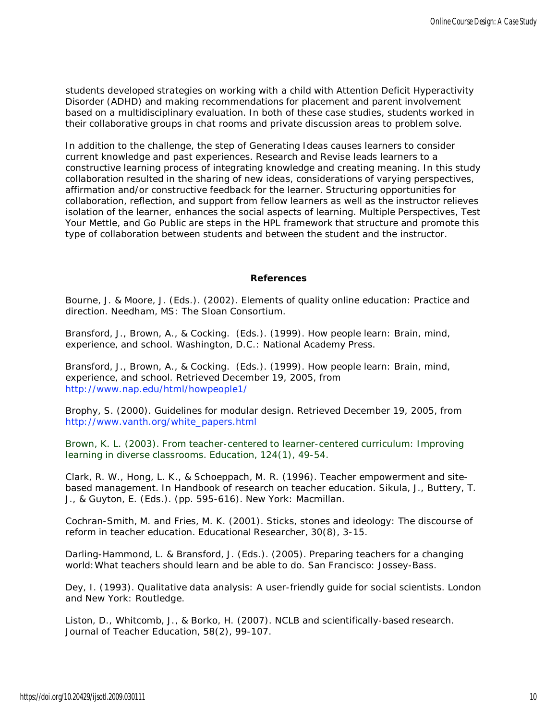students developed strategies on working with a child with Attention Deficit Hyperactivity Disorder (ADHD) and making recommendations for placement and parent involvement based on a multidisciplinary evaluation. In both of these case studies, students worked in their collaborative groups in chat rooms and private discussion areas to problem solve.

In addition to the challenge, the step of *Generating Ideas* causes learners to consider current knowledge and past experiences. *Research and Revise* leads learners to a constructive learning process of integrating knowledge and creating meaning. In this study collaboration resulted in the sharing of new ideas, considerations of varying perspectives, affirmation and/or constructive feedback for the learner. Structuring opportunities for collaboration, reflection, and support from fellow learners as well as the instructor relieves isolation of the learner, enhances the social aspects of learning. *Multiple Perspectives*, *Test Your Mettle*, and *Go Public* are steps in the HPL framework that structure and promote this type of collaboration between students and between the student and the instructor.

#### **References**

Bourne, J. & Moore, J. (Eds.). (2002). *Elements of quality online education: Practice and direction.* Needham, MS: The Sloan Consortium.

Bransford, J., Brown, A., & Cocking. (Eds.). (1999). *How people learn: Brain, mind, experience, and school.* Washington, D.C.: National Academy Press.

Bransford, J., Brown, A., & Cocking. (Eds.). (1999). *How people learn: Brain, mind, experience, and school.* Retrieved December 19, 2005, from <http://www.nap.edu/html/howpeople1/>

Brophy, S. (2000). *Guidelines for modular design.* Retrieved December 19, 2005, from [http://www.vanth.org/white\\_papers.html](http://www.vanth.org/white_papers.html)

Brown, K. L. (2003). From teacher-centered to learner-centered curriculum: Improving learning in diverse classrooms. *Education,* 124(1), 49-54.

Clark, R. W., Hong, L. K., & Schoeppach, M. R. (1996). Teacher empowerment and sitebased management. In *Handbook of research on teacher education*. Sikula, J., Buttery, T. J., & Guyton, E. (Eds.). (pp. 595-616). New York: Macmillan.

Cochran-Smith, M. and Fries, M. K. (2001). Sticks, stones and ideology: The discourse of reform in teacher education. *Educational Researcher,* 30(8), 3-15.

Darling-Hammond, L. & Bransford, J. (Eds.). (2005). *Preparing teachers for a changing world:What teachers should learn and be able to do*. San Francisco: Jossey-Bass.

Dey, I. (1993). *Qualitative data analysis: A user-friendly guide for social scientists.* London and New York: Routledge.

Liston, D., Whitcomb, J., & Borko, H. (2007). NCLB and scientifically-based research. *Journal of Teacher Education*, 58(2), 99-107.